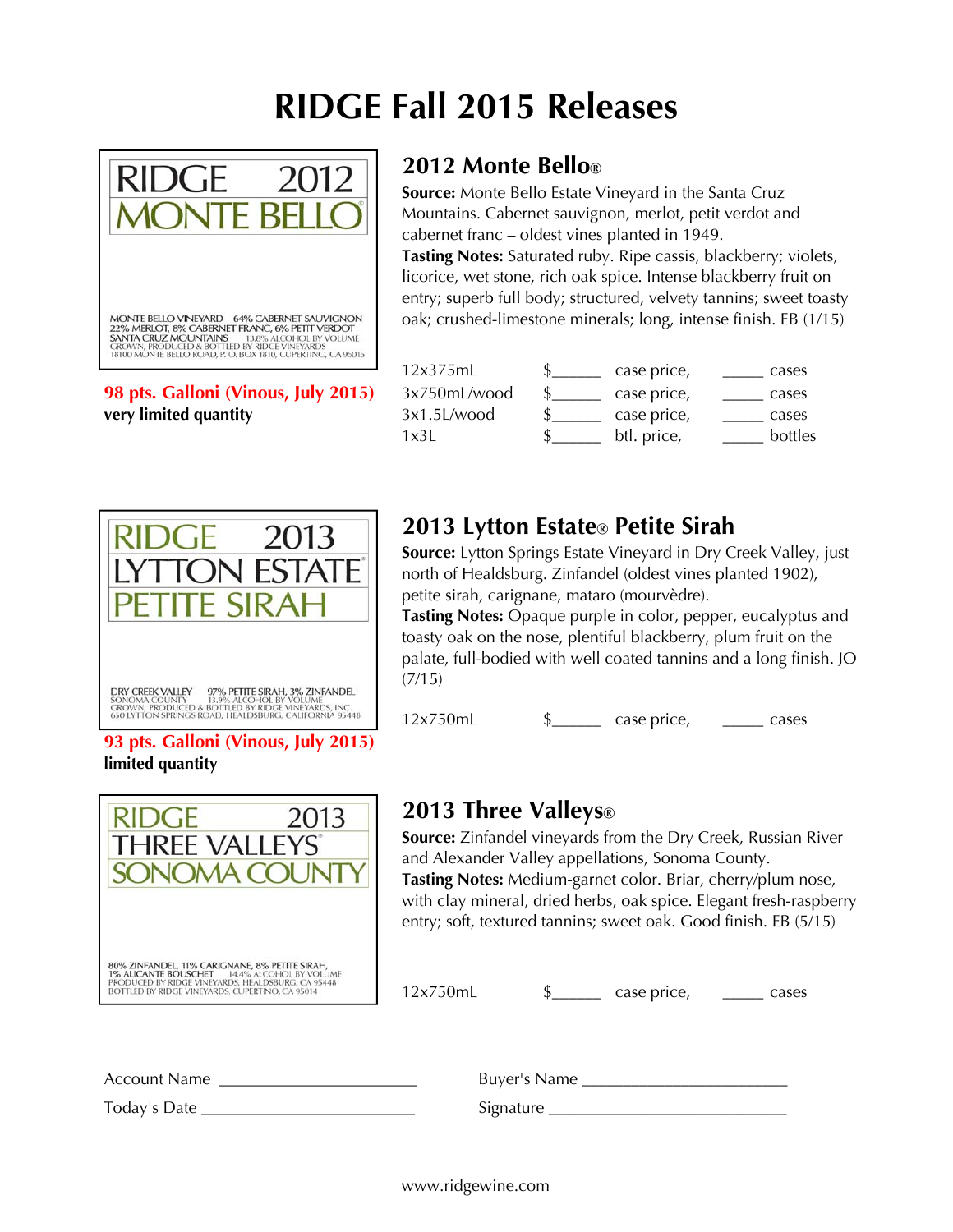# **RIDGE Fall 2015 Releases**



#### **98 pts. Galloni (Vinous, July 2015)** very limited quantity

### **2012 Monte Bello®**

**Source:** Monte Bello Estate Vineyard in the Santa Cruz Mountains. Cabernet sauvignon, merlot, petit verdot and cabernet franc – oldest vines planted in 1949. **Tasting Notes:** Saturated ruby. Ripe cassis, blackberry; violets, licorice, wet stone, rich oak spice. Intense blackberry fruit on entry; superb full body; structured, velvety tannins; sweet toasty oak; crushed-limestone minerals; long, intense finish. EB (1/15)

| 12x375mL     | case price, | cases   |
|--------------|-------------|---------|
| 3x750mL/wood | case price, | cases   |
| 3x1.5L/wood  | case price, | cases   |
| 1x3L         | btl. price, | bottles |



# **2013 Lytton Estate® Petite Sirah**

**Source:** Lytton Springs Estate Vineyard in Dry Creek Valley, just north of Healdsburg. Zinfandel (oldest vines planted 1902), petite sirah, carignane, mataro (mourvèdre).

**Tasting Notes:** Opaque purple in color, pepper, eucalyptus and toasty oak on the nose, plentiful blackberry, plum fruit on the palate, full-bodied with well coated tannins and a long finish. JO (7/15)

12x750mL \$\_\_\_\_\_\_ case price, \_\_\_\_\_ cases

#### **93 pts. Galloni (Vinous, July 2015) limited quantity**



# **2013 Three Valleys®**

**Source:** Zinfandel vineyards from the Dry Creek, Russian River and Alexander Valley appellations, Sonoma County.

**Tasting Notes:** Medium-garnet color. Briar, cherry/plum nose, with clay mineral, dried herbs, oak spice. Elegant fresh-raspberry entry; soft, textured tannins; sweet oak. Good finish. EB (5/15)

 $12x750mL$   $\frac{12x750mL}{m}$  case price, \_\_\_\_\_ cases

| Account Name | Buyer's Name |
|--------------|--------------|
| Today's Date | Signature    |